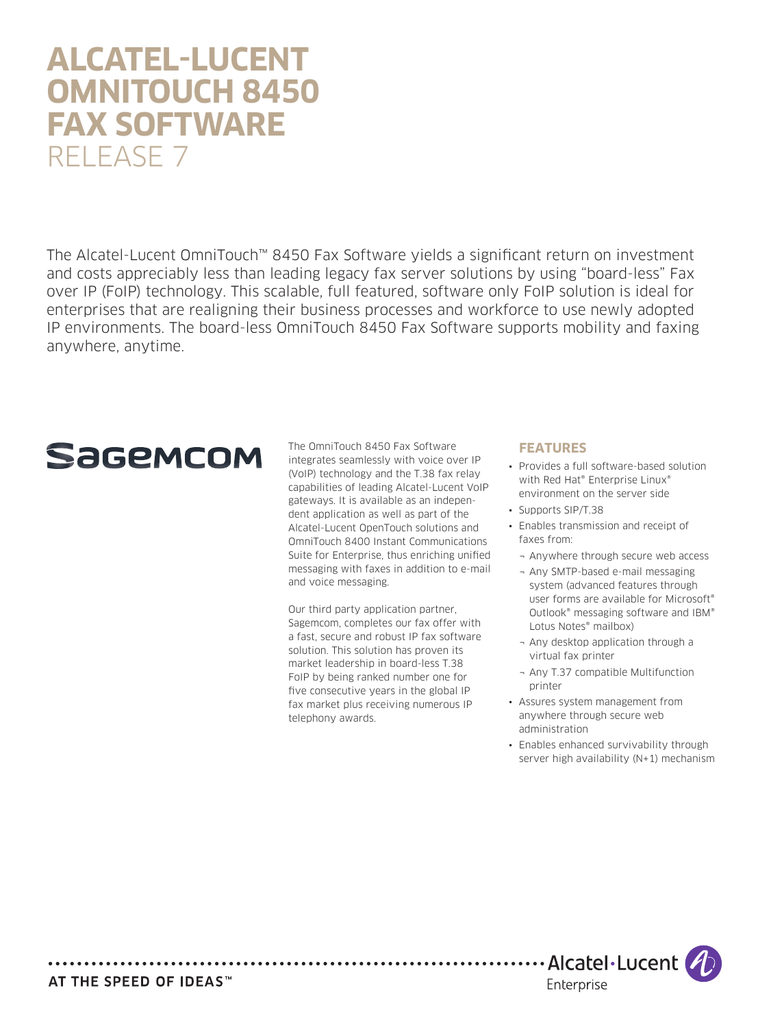# **ALCATEL-LUCENT OMNITOUCH 8450 FAX SOFTWARE** RELEASE 7

The Alcatel-Lucent OmniTouch™ 8450 Fax Software yields a significant return on investment and costs appreciably less than leading legacy fax server solutions by using "board-less" Fax over IP (FoIP) technology. This scalable, full featured, software only FoIP solution is ideal for enterprises that are realigning their business processes and workforce to use newly adopted IP environments. The board-less OmniTouch 8450 Fax Software supports mobility and faxing anywhere, anytime.

# **Sagemcom**

The OmniTouch 8450 Fax Software integrates seamlessly with voice over IP (VoIP) technology and the T.38 fax relay capabilities of leading Alcatel-Lucent VoIP gateways. It is available as an independent application as well as part of the Alcatel-Lucent OpenTouch solutions and OmniTouch 8400 Instant Communications Suite for Enterprise, thus enriching unified messaging with faxes in addition to e-mail and voice messaging.

Our third party application partner, Sagemcom, completes our fax offer with a fast, secure and robust IP fax software solution. This solution has proven its market leadership in board-less T.38 FoIP by being ranked number one for five consecutive years in the global IP fax market plus receiving numerous IP telephony awards.

#### **FEATURES**

- Provides a full software-based solution with Red Hat® Enterprise Linux® environment on the server side
- • Supports SIP/T.38
- • Enables transmission and receipt of faxes from:
	- ¬ Anywhere through secure web access
	- ¬ Any SMTP-based e-mail messaging system (advanced features through user forms are available for Microsoft® Outlook® messaging software and IBM® Lotus Notes® mailbox)
	- ¬ Any desktop application through a virtual fax printer
	- ¬ Any T.37 compatible Multifunction printer
- • Assures system management from anywhere through secure web administration
- Enables enhanced survivability through server high availability (N+1) mechanism



AT THE SPEED OF IDEAS™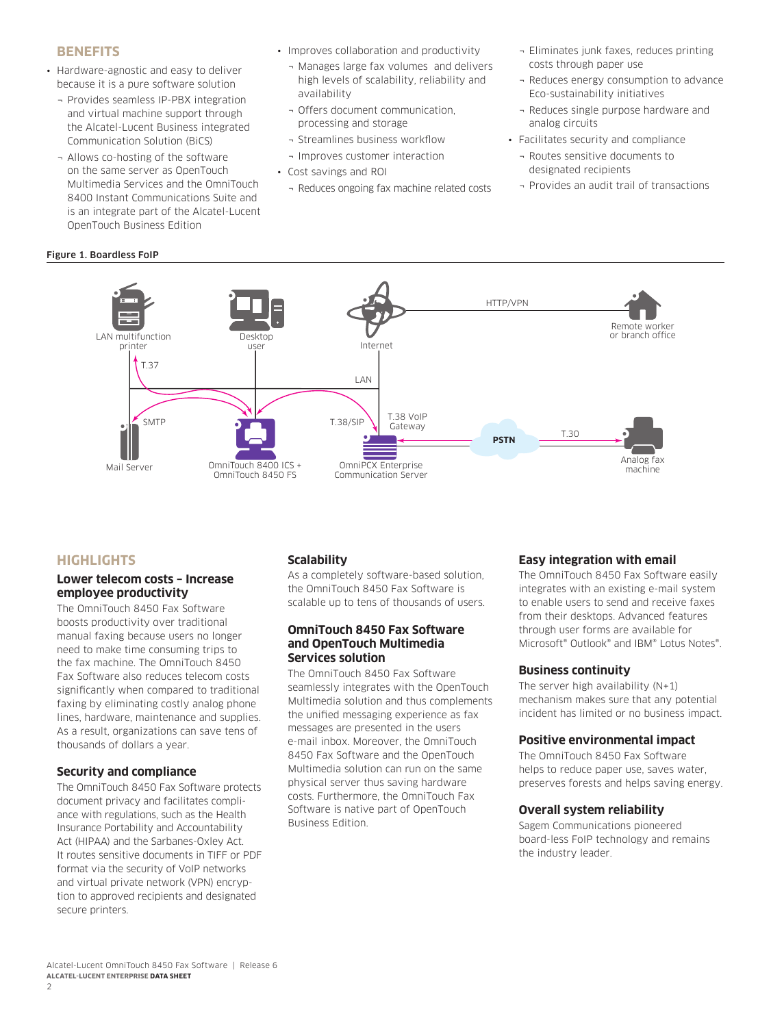#### **BENEFITS**

- Hardware-agnostic and easy to deliver because it is a pure software solution
	- ¬ Provides seamless IP-PBX integration and virtual machine support through the Alcatel-Lucent Business integrated Communication Solution (BiCS)
	- ¬ Allows co-hosting of the software on the same server as OpenTouch Multimedia Services and the OmniTouch 8400 Instant Communications Suite and is an integrate part of the Alcatel-Lucent OpenTouch Business Edition
- Improves collaboration and productivity
	- ¬ Manages large fax volumes and delivers high levels of scalability, reliability and availability
	- ¬ Offers document communication, processing and storage
	- ¬ Streamlines business workflow
	- ¬ Improves customer interaction
- • Cost savings and ROI
- ¬ Reduces ongoing fax machine related costs
- ¬ Eliminates junk faxes, reduces printing costs through paper use
- ¬ Reduces energy consumption to advance Eco-sustainability initiatives
- Reduces single purpose hardware and analog circuits
- • Facilitates security and compliance
	- ¬ Routes sensitive documents to designated recipients
	- ¬ Provides an audit trail of transactions

# Figure 1. Boardless FoIP



# **HIGHLIGHTS**

#### **Lower telecom costs – Increase employee productivity**

The OmniTouch 8450 Fax Software boosts productivity over traditional manual faxing because users no longer need to make time consuming trips to the fax machine. The OmniTouch 8450 Fax Software also reduces telecom costs significantly when compared to traditional faxing by eliminating costly analog phone lines, hardware, maintenance and supplies. As a result, organizations can save tens of thousands of dollars a year.

#### **Security and compliance**

The OmniTouch 8450 Fax Software protects document privacy and facilitates compliance with regulations, such as the Health Insurance Portability and Accountability Act (HIPAA) and the Sarbanes-Oxley Act. It routes sensitive documents in TIFF or PDF format via the security of VoIP networks and virtual private network (VPN) encryption to approved recipients and designated secure printers.

#### **Scalability**

As a completely software-based solution, the OmniTouch 8450 Fax Software is scalable up to tens of thousands of users.

#### **OmniTouch 8450 Fax Software and OpenTouch Multimedia Services solution**

The OmniTouch 8450 Fax Software seamlessly integrates with the OpenTouch Multimedia solution and thus complements the unified messaging experience as fax messages are presented in the users e-mail inbox. Moreover, the OmniTouch 8450 Fax Software and the OpenTouch Multimedia solution can run on the same physical server thus saving hardware costs. Furthermore, the OmniTouch Fax Software is native part of OpenTouch Business Edition.

#### **Easy integration with email**

The OmniTouch 8450 Fax Software easily integrates with an existing e-mail system to enable users to send and receive faxes from their desktops. Advanced features through user forms are available for Microsoft® Outlook® and IBM® Lotus Notes®.

#### **Business continuity**

The server high availability  $(N+1)$ mechanism makes sure that any potential incident has limited or no business impact.

#### **Positive environmental impact**

The OmniTouch 8450 Fax Software helps to reduce paper use, saves water, preserves forests and helps saving energy.

#### **Overall system reliability**

Sagem Communications pioneered board-less FoIP technology and remains the industry leader.